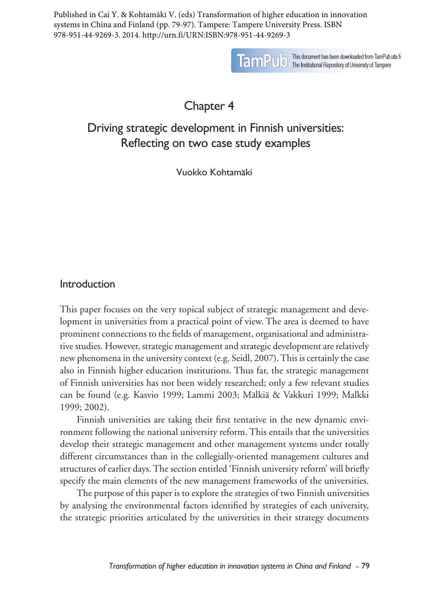Published in Cai Y. & Kohtamäki V. (eds) Transformation of higher education in innovation systems in China and Finland (pp. 79-97). Tampere: Tampere University Press. ISBN 978-951-44-9269-3. 2014. http://urn.fi/URN:ISBN:978-951-44-9269-3



**TamPU** b This document has been downloaded from TamPub.uta.fi<br>TamPU b The Institutional Repository of University of Tampere

Chapter 4

# Driving strategic development in Finnish universities: Reflecting on two case study examples

Vuokko Kohtamäki

# Introduction

This paper focuses on the very topical subject of strategic management and development in universities from a practical point of view. The area is deemed to have prominent connections to the fields of management, organisational and administrative studies. However, strategic management and strategic development are relatively new phenomena in the university context (e.g. Seidl, 2007). This is certainly the case also in Finnish higher education institutions. Thus far, the strategic management of Finnish universities has not been widely researched; only a few relevant studies can be found (e.g. Kasvio 1999; Lammi 2003; Mälkiä & Vakkuri 1999; Malkki 1999; 2002).

Finnish universities are taking their first tentative in the new dynamic environment following the national university reform. This entails that the universities develop their strategic management and other management systems under totally different circumstances than in the collegially-oriented management cultures and structures of earlier days. The section entitled 'Finnish university reform' will briefly specify the main elements of the new management frameworks of the universities.

The purpose of this paper is to explore the strategies of two Finnish universities by analysing the environmental factors identified by strategies of each university, the strategic priorities articulated by the universities in their strategy documents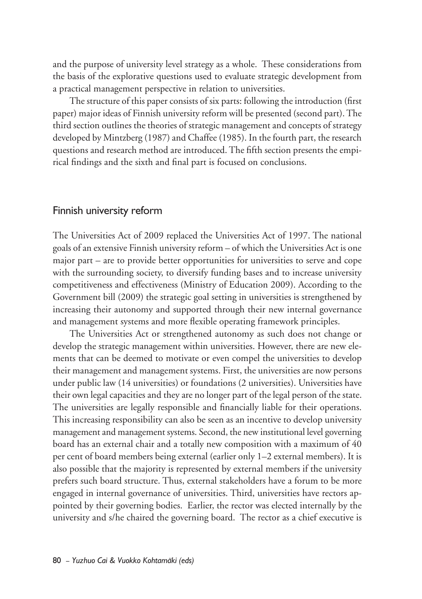and the purpose of university level strategy as a whole. These considerations from the basis of the explorative questions used to evaluate strategic development from a practical management perspective in relation to universities.

The structure of this paper consists of six parts: following the introduction (first paper) major ideas of Finnish university reform will be presented (second part). The third section outlines the theories of strategic management and concepts of strategy developed by Mintzberg (1987) and Chaffee (1985). In the fourth part, the research questions and research method are introduced. The fifth section presents the empirical findings and the sixth and final part is focused on conclusions.

### Finnish university reform

The Universities Act of 2009 replaced the Universities Act of 1997. The national goals of an extensive Finnish university reform – of which the Universities Act is one major part – are to provide better opportunities for universities to serve and cope with the surrounding society, to diversify funding bases and to increase university competitiveness and effectiveness (Ministry of Education 2009). According to the Government bill (2009) the strategic goal setting in universities is strengthened by increasing their autonomy and supported through their new internal governance and management systems and more flexible operating framework principles.

The Universities Act or strengthened autonomy as such does not change or develop the strategic management within universities. However, there are new elements that can be deemed to motivate or even compel the universities to develop their management and management systems. First, the universities are now persons under public law (14 universities) or foundations (2 universities). Universities have their own legal capacities and they are no longer part of the legal person of the state. The universities are legally responsible and financially liable for their operations. This increasing responsibility can also be seen as an incentive to develop university management and management systems. Second, the new institutional level governing board has an external chair and a totally new composition with a maximum of 40 per cent of board members being external (earlier only 1–2 external members). It is also possible that the majority is represented by external members if the university prefers such board structure. Thus, external stakeholders have a forum to be more engaged in internal governance of universities. Third, universities have rectors appointed by their governing bodies. Earlier, the rector was elected internally by the university and s/he chaired the governing board. The rector as a chief executive is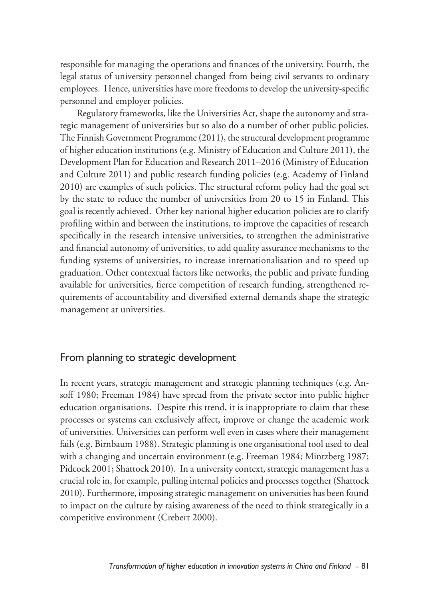responsible for managing the operations and finances of the university. Fourth, the legal status of university personnel changed from being civil servants to ordinary employees. Hence, universities have more freedoms to develop the university-specific personnel and employer policies.

Regulatory frameworks, like the Universities Act, shape the autonomy and strategic management of universities but so also do a number of other public policies. The Finnish Government Programme (2011), the structural development programme of higher education institutions (e.g. Ministry of Education and Culture 2011), the Development Plan for Education and Research 2011–2016 (Ministry of Education and Culture 2011) and public research funding policies (e.g. Academy of Finland 2010) are examples of such policies. The structural reform policy had the goal set by the state to reduce the number of universities from 20 to 15 in Finland. This goal is recently achieved. Other key national higher education policies are to clarify profiling within and between the institutions, to improve the capacities of research specifically in the research intensive universities, to strengthen the administrative and financial autonomy of universities, to add quality assurance mechanisms to the funding systems of universities, to increase internationalisation and to speed up graduation. Other contextual factors like networks, the public and private funding available for universities, fierce competition of research funding, strengthened requirements of accountability and diversified external demands shape the strategic management at universities.

# From planning to strategic development

In recent years, strategic management and strategic planning techniques (e.g. Ansoff 1980; Freeman 1984) have spread from the private sector into public higher education organisations. Despite this trend, it is inappropriate to claim that these processes or systems can exclusively affect, improve or change the academic work of universities. Universities can perform well even in cases where their management fails (e.g. Birnbaum 1988). Strategic planning is one organisational tool used to deal with a changing and uncertain environment (e.g. Freeman 1984; Mintzberg 1987; Pidcock 2001; Shattock 2010). In a university context, strategic management has a crucial role in, for example, pulling internal policies and processes together (Shattock 2010). Furthermore, imposing strategic management on universities has been found to impact on the culture by raising awareness of the need to think strategically in a competitive environment (Crebert 2000).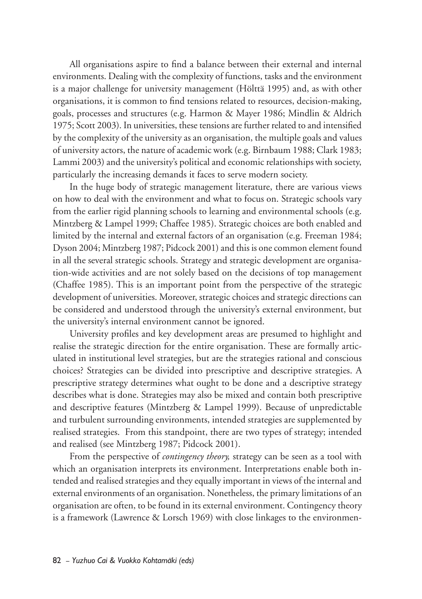All organisations aspire to find a balance between their external and internal environments. Dealing with the complexity of functions, tasks and the environment is a major challenge for university management (Hölttä 1995) and, as with other organisations, it is common to find tensions related to resources, decision-making, goals, processes and structures (e.g. Harmon & Mayer 1986; Mindlin & Aldrich 1975; Scott 2003). In universities, these tensions are further related to and intensified by the complexity of the university as an organisation, the multiple goals and values of university actors, the nature of academic work (e.g. Birnbaum 1988; Clark 1983; Lammi 2003) and the university's political and economic relationships with society, particularly the increasing demands it faces to serve modern society.

In the huge body of strategic management literature, there are various views on how to deal with the environment and what to focus on. Strategic schools vary from the earlier rigid planning schools to learning and environmental schools (e.g. Mintzberg & Lampel 1999; Chaffee 1985). Strategic choices are both enabled and limited by the internal and external factors of an organisation (e.g. Freeman 1984; Dyson 2004; Mintzberg 1987; Pidcock 2001) and this is one common element found in all the several strategic schools. Strategy and strategic development are organisation-wide activities and are not solely based on the decisions of top management (Chaffee 1985). This is an important point from the perspective of the strategic development of universities. Moreover, strategic choices and strategic directions can be considered and understood through the university's external environment, but the university's internal environment cannot be ignored.

University profiles and key development areas are presumed to highlight and realise the strategic direction for the entire organisation. These are formally articulated in institutional level strategies, but are the strategies rational and conscious choices? Strategies can be divided into prescriptive and descriptive strategies. A prescriptive strategy determines what ought to be done and a descriptive strategy describes what is done. Strategies may also be mixed and contain both prescriptive and descriptive features (Mintzberg & Lampel 1999). Because of unpredictable and turbulent surrounding environments, intended strategies are supplemented by realised strategies. From this standpoint, there are two types of strategy; intended and realised (see Mintzberg 1987; Pidcock 2001).

From the perspective of *contingency theory,* strategy can be seen as a tool with which an organisation interprets its environment. Interpretations enable both intended and realised strategies and they equally important in views of the internal and external environments of an organisation. Nonetheless, the primary limitations of an organisation are often, to be found in its external environment. Contingency theory is a framework (Lawrence & Lorsch 1969) with close linkages to the environmen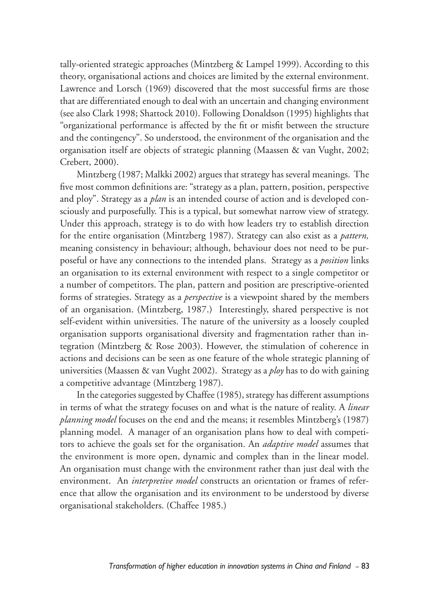tally-oriented strategic approaches (Mintzberg & Lampel 1999). According to this theory, organisational actions and choices are limited by the external environment. Lawrence and Lorsch (1969) discovered that the most successful firms are those that are differentiated enough to deal with an uncertain and changing environment (see also Clark 1998; Shattock 2010). Following Donaldson (1995) highlights that "organizational performance is affected by the fit or misfit between the structure and the contingency". So understood, the environment of the organisation and the organisation itself are objects of strategic planning (Maassen & van Vught, 2002; Crebert, 2000).

Mintzberg (1987; Malkki 2002) argues that strategy has several meanings. The five most common definitions are: "strategy as a plan, pattern, position, perspective and ploy". Strategy as a *plan* is an intended course of action and is developed consciously and purposefully. This is a typical, but somewhat narrow view of strategy. Under this approach, strategy is to do with how leaders try to establish direction for the entire organisation (Mintzberg 1987). Strategy can also exist as a *pattern,*  meaning consistency in behaviour; although, behaviour does not need to be purposeful or have any connections to the intended plans. Strategy as a *position* links an organisation to its external environment with respect to a single competitor or a number of competitors. The plan, pattern and position are prescriptive-oriented forms of strategies. Strategy as a *perspective* is a viewpoint shared by the members of an organisation. (Mintzberg, 1987.) Interestingly, shared perspective is not self-evident within universities. The nature of the university as a loosely coupled organisation supports organisational diversity and fragmentation rather than integration (Mintzberg & Rose 2003). However, the stimulation of coherence in actions and decisions can be seen as one feature of the whole strategic planning of universities (Maassen & van Vught 2002). Strategy as a *ploy* has to do with gaining a competitive advantage (Mintzberg 1987).

In the categories suggested by Chaffee (1985), strategy has different assumptions in terms of what the strategy focuses on and what is the nature of reality. A *linear planning model* focuses on the end and the means; it resembles Mintzberg's (1987) planning model. A manager of an organisation plans how to deal with competitors to achieve the goals set for the organisation. An *adaptive model* assumes that the environment is more open, dynamic and complex than in the linear model. An organisation must change with the environment rather than just deal with the environment. An *interpretive model* constructs an orientation or frames of reference that allow the organisation and its environment to be understood by diverse organisational stakeholders. (Chaffee 1985.)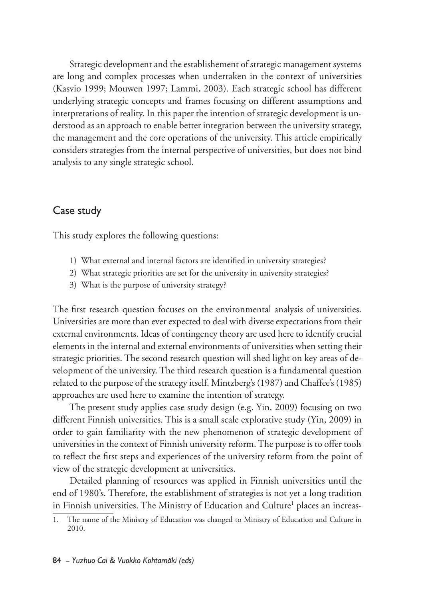Strategic development and the establishement of strategic management systems are long and complex processes when undertaken in the context of universities (Kasvio 1999; Mouwen 1997; Lammi, 2003). Each strategic school has different underlying strategic concepts and frames focusing on different assumptions and interpretations of reality. In this paper the intention of strategic development is understood as an approach to enable better integration between the university strategy, the management and the core operations of the university. This article empirically considers strategies from the internal perspective of universities, but does not bind analysis to any single strategic school.

# Case study

This study explores the following questions:

- 1) What external and internal factors are identified in university strategies?
- 2) What strategic priorities are set for the university in university strategies?
- 3) What is the purpose of university strategy?

The first research question focuses on the environmental analysis of universities. Universities are more than ever expected to deal with diverse expectations from their external environments. Ideas of contingency theory are used here to identify crucial elements in the internal and external environments of universities when setting their strategic priorities. The second research question will shed light on key areas of development of the university. The third research question is a fundamental question related to the purpose of the strategy itself. Mintzberg's (1987) and Chaffee's (1985) approaches are used here to examine the intention of strategy.

The present study applies case study design (e.g. Yin, 2009) focusing on two different Finnish universities. This is a small scale explorative study (Yin, 2009) in order to gain familiarity with the new phenomenon of strategic development of universities in the context of Finnish university reform. The purpose is to offer tools to reflect the first steps and experiences of the university reform from the point of view of the strategic development at universities.

Detailed planning of resources was applied in Finnish universities until the end of 1980's. Therefore, the establishment of strategies is not yet a long tradition in Finnish universities. The Ministry of Education and Culture<sup>1</sup> places an increas-

<sup>1.</sup> The name of the Ministry of Education was changed to Ministry of Education and Culture in 2010.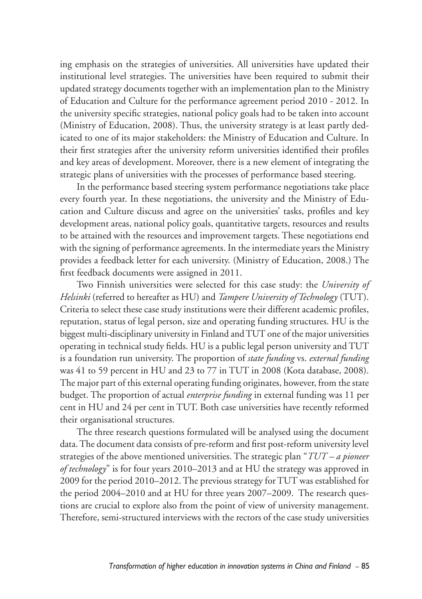ing emphasis on the strategies of universities. All universities have updated their institutional level strategies. The universities have been required to submit their updated strategy documents together with an implementation plan to the Ministry of Education and Culture for the performance agreement period 2010 - 2012. In the university specific strategies, national policy goals had to be taken into account (Ministry of Education, 2008). Thus, the university strategy is at least partly dedicated to one of its major stakeholders: the Ministry of Education and Culture. In their first strategies after the university reform universities identified their profiles and key areas of development. Moreover, there is a new element of integrating the strategic plans of universities with the processes of performance based steering.

In the performance based steering system performance negotiations take place every fourth year. In these negotiations, the university and the Ministry of Education and Culture discuss and agree on the universities' tasks, profiles and key development areas, national policy goals, quantitative targets, resources and results to be attained with the resources and improvement targets. These negotiations end with the signing of performance agreements. In the intermediate years the Ministry provides a feedback letter for each university. (Ministry of Education, 2008.) The first feedback documents were assigned in 2011.

Two Finnish universities were selected for this case study: the *University of Helsinki* (referred to hereafter as HU) and *Tampere University of Technology* (TUT). Criteria to select these case study institutions were their different academic profiles, reputation, status of legal person, size and operating funding structures. HU is the biggest multi-disciplinary university in Finland and TUT one of the major universities operating in technical study fields. HU is a public legal person university and TUT is a foundation run university. The proportion of *state funding* vs. *external funding* was 41 to 59 percent in HU and 23 to 77 in TUT in 2008 (Kota database, 2008). The major part of this external operating funding originates, however, from the state budget. The proportion of actual *enterprise funding* in external funding was 11 per cent in HU and 24 per cent in TUT. Both case universities have recently reformed their organisational structures.

The three research questions formulated will be analysed using the document data. The document data consists of pre-reform and first post-reform university level strategies of the above mentioned universities. The strategic plan "*TUT – a pioneer of technology*" is for four years 2010–2013 and at HU the strategy was approved in 2009 for the period 2010–2012. The previous strategy for TUT was established for the period 2004–2010 and at HU for three years 2007–2009. The research questions are crucial to explore also from the point of view of university management. Therefore, semi-structured interviews with the rectors of the case study universities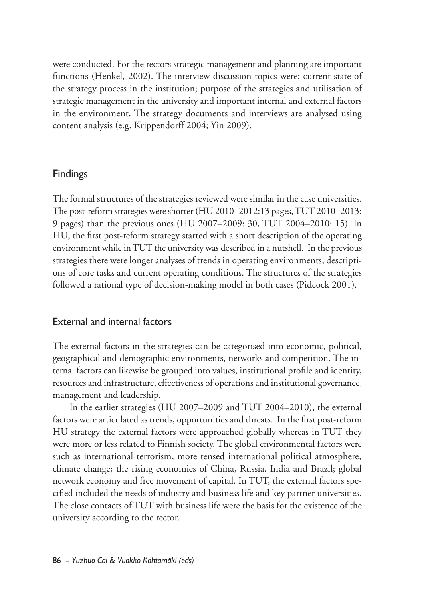were conducted. For the rectors strategic management and planning are important functions (Henkel, 2002). The interview discussion topics were: current state of the strategy process in the institution; purpose of the strategies and utilisation of strategic management in the university and important internal and external factors in the environment. The strategy documents and interviews are analysed using content analysis (e.g. Krippendorff 2004; Yin 2009).

# Findings

The formal structures of the strategies reviewed were similar in the case universities. The post-reform strategies were shorter (HU 2010–2012:13 pages, TUT 2010–2013: 9 pages) than the previous ones (HU 2007–2009: 30, TUT 2004–2010: 15). In HU, the first post-reform strategy started with a short description of the operating environment while in TUT the university was described in a nutshell. In the previous strategies there were longer analyses of trends in operating environments, descriptions of core tasks and current operating conditions. The structures of the strategies followed a rational type of decision-making model in both cases (Pidcock 2001).

## External and internal factors

The external factors in the strategies can be categorised into economic, political, geographical and demographic environments, networks and competition. The internal factors can likewise be grouped into values, institutional profile and identity, resources and infrastructure, effectiveness of operations and institutional governance, management and leadership.

In the earlier strategies (HU 2007–2009 and TUT 2004–2010), the external factors were articulated as trends, opportunities and threats. In the first post-reform HU strategy the external factors were approached globally whereas in TUT they were more or less related to Finnish society. The global environmental factors were such as international terrorism, more tensed international political atmosphere, climate change; the rising economies of China, Russia, India and Brazil; global network economy and free movement of capital. In TUT, the external factors specified included the needs of industry and business life and key partner universities. The close contacts of TUT with business life were the basis for the existence of the university according to the rector.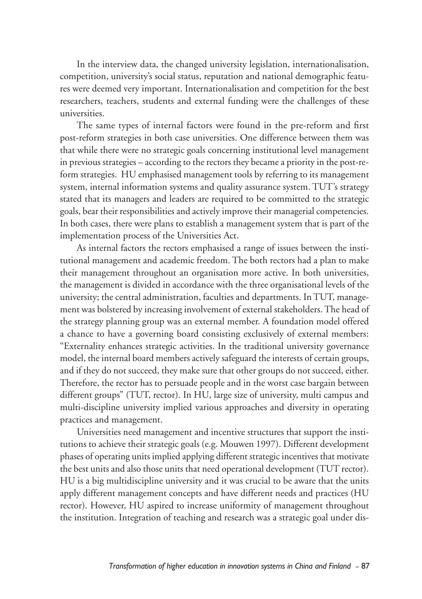In the interview data, the changed university legislation, internationalisation, competition, university's social status, reputation and national demographic features were deemed very important. Internationalisation and competition for the best researchers, teachers, students and external funding were the challenges of these universities.

The same types of internal factors were found in the pre-reform and first post-reform strategies in both case universities. One difference between them was that while there were no strategic goals concerning institutional level management in previous strategies – according to the rectors they became a priority in the post-reform strategies. HU emphasised management tools by referring to its management system, internal information systems and quality assurance system. TUT's strategy stated that its managers and leaders are required to be committed to the strategic goals, bear their responsibilities and actively improve their managerial competencies. In both cases, there were plans to establish a management system that is part of the implementation process of the Universities Act.

As internal factors the rectors emphasised a range of issues between the institutional management and academic freedom. The both rectors had a plan to make their management throughout an organisation more active. In both universities, the management is divided in accordance with the three organisational levels of the university; the central administration, faculties and departments. In TUT, management was bolstered by increasing involvement of external stakeholders. The head of the strategy planning group was an external member. A foundation model offered a chance to have a governing board consisting exclusively of external members: "Externality enhances strategic activities. In the traditional university governance model, the internal board members actively safeguard the interests of certain groups, and if they do not succeed, they make sure that other groups do not succeed, either. Therefore, the rector has to persuade people and in the worst case bargain between different groups" (TUT, rector). In HU, large size of university, multi campus and multi-discipline university implied various approaches and diversity in operating practices and management.

Universities need management and incentive structures that support the institutions to achieve their strategic goals (e.g. Mouwen 1997). Different development phases of operating units implied applying different strategic incentives that motivate the best units and also those units that need operational development (TUT rector). HU is a big multidiscipline university and it was crucial to be aware that the units apply different management concepts and have different needs and practices (HU rector). However, HU aspired to increase uniformity of management throughout the institution. Integration of teaching and research was a strategic goal under dis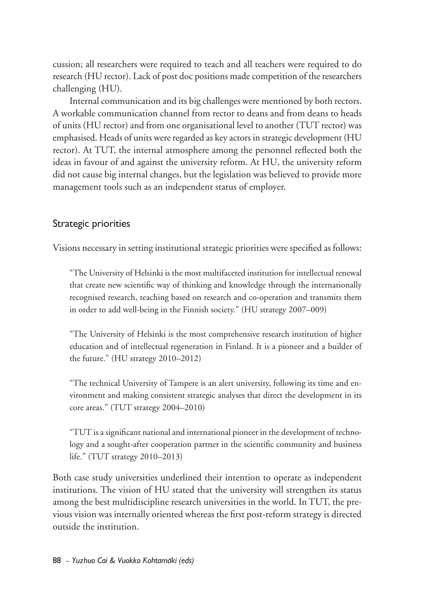cussion; all researchers were required to teach and all teachers were required to do research (HU rector). Lack of post doc positions made competition of the researchers challenging (HU).

Internal communication and its big challenges were mentioned by both rectors. A workable communication channel from rector to deans and from deans to heads of units (HU rector) and from one organisational level to another (TUT rector) was emphasised. Heads of units were regarded as key actors in strategic development (HU rector). At TUT, the internal atmosphere among the personnel reflected both the ideas in favour of and against the university reform. At HU, the university reform did not cause big internal changes, but the legislation was believed to provide more management tools such as an independent status of employer.

## Strategic priorities

Visions necessary in setting institutional strategic priorities were specified as follows:

"The University of Helsinki is the most multifaceted institution for intellectual renewal that create new scientific way of thinking and knowledge through the internationally recognised research, teaching based on research and co-operation and transmits them in order to add well-being in the Finnish society." (HU strategy 2007–009)

"The University of Helsinki is the most comprehensive research institution of higher education and of intellectual regeneration in Finland. It is a pioneer and a builder of the future." (HU strategy 2010–2012)

"The technical University of Tampere is an alert university, following its time and environment and making consistent strategic analyses that direct the development in its core areas." (TUT strategy 2004–2010)

"TUT is a significant national and international pioneer in the development of technology and a sought-after cooperation partner in the scientific community and business life." (TUT strategy 2010–2013)

Both case study universities underlined their intention to operate as independent institutions. The vision of HU stated that the university will strengthen its status among the best multidiscipline research universities in the world. In TUT, the previous vision was internally oriented whereas the first post-reform strategy is directed outside the institution.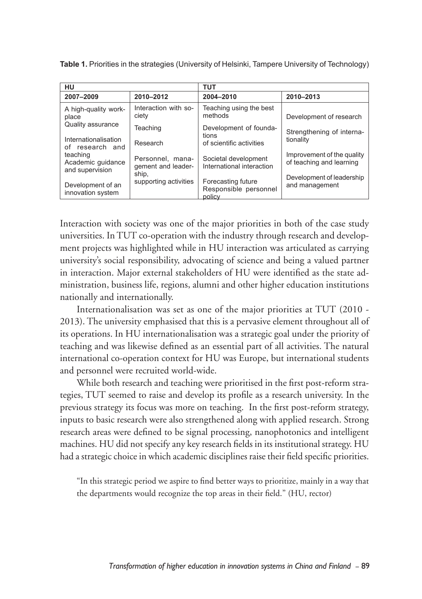| HU                                               |                                        | TUT                                                   |                                                        |
|--------------------------------------------------|----------------------------------------|-------------------------------------------------------|--------------------------------------------------------|
| 2007-2009                                        | 2010-2012                              | 2004-2010                                             | 2010-2013                                              |
| A high-quality work-<br>place                    | Interaction with so-<br>ciety          | Teaching using the best<br>methods                    | Development of research                                |
| Quality assurance                                | Teaching                               | Development of founda-<br>tions                       | Strengthening of interna-                              |
| Internationalisation<br>of research and          | Research                               | of scientific activities                              | tionality                                              |
| teaching<br>Academic quidance<br>and supervision | Personnel. mana-<br>gement and leader- | Societal development<br>International interaction     | Improvement of the quality<br>of teaching and learning |
| Development of an<br>innovation system           | ship,<br>supporting activities         | Forecasting future<br>Responsible personnel<br>policy | Development of leadership<br>and management            |

**Table 1.** Priorities in the strategies (University of Helsinki, Tampere University of Technology)

Interaction with society was one of the major priorities in both of the case study universities. In TUT co-operation with the industry through research and development projects was highlighted while in HU interaction was articulated as carrying university's social responsibility, advocating of science and being a valued partner in interaction. Major external stakeholders of HU were identified as the state administration, business life, regions, alumni and other higher education institutions nationally and internationally.

Internationalisation was set as one of the major priorities at TUT (2010 - 2013). The university emphasised that this is a pervasive element throughout all of its operations. In HU internationalisation was a strategic goal under the priority of teaching and was likewise defined as an essential part of all activities. The natural international co-operation context for HU was Europe, but international students and personnel were recruited world-wide.

While both research and teaching were prioritised in the first post-reform strategies, TUT seemed to raise and develop its profile as a research university. In the previous strategy its focus was more on teaching. In the first post-reform strategy, inputs to basic research were also strengthened along with applied research. Strong research areas were defined to be signal processing, nanophotonics and intelligent machines. HU did not specify any key research fields in its institutional strategy. HU had a strategic choice in which academic disciplines raise their field specific priorities.

"In this strategic period we aspire to find better ways to prioritize, mainly in a way that the departments would recognize the top areas in their field." (HU, rector)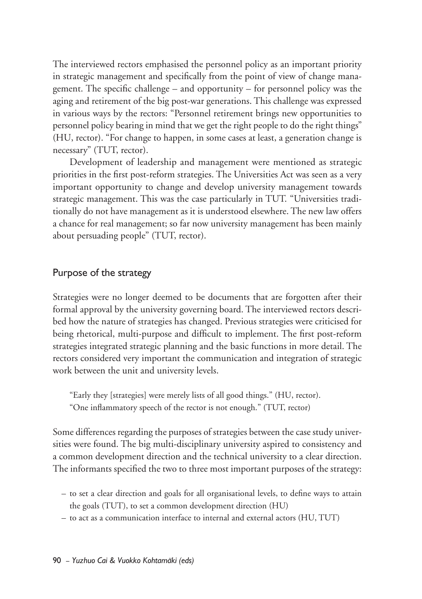The interviewed rectors emphasised the personnel policy as an important priority in strategic management and specifically from the point of view of change management. The specific challenge – and opportunity – for personnel policy was the aging and retirement of the big post-war generations. This challenge was expressed in various ways by the rectors: "Personnel retirement brings new opportunities to personnel policy bearing in mind that we get the right people to do the right things" (HU, rector). "For change to happen, in some cases at least, a generation change is necessary" (TUT, rector).

Development of leadership and management were mentioned as strategic priorities in the first post-reform strategies. The Universities Act was seen as a very important opportunity to change and develop university management towards strategic management. This was the case particularly in TUT. "Universities traditionally do not have management as it is understood elsewhere. The new law offers a chance for real management; so far now university management has been mainly about persuading people" (TUT, rector).

## Purpose of the strategy

Strategies were no longer deemed to be documents that are forgotten after their formal approval by the university governing board. The interviewed rectors described how the nature of strategies has changed. Previous strategies were criticised for being rhetorical, multi-purpose and difficult to implement. The first post-reform strategies integrated strategic planning and the basic functions in more detail. The rectors considered very important the communication and integration of strategic work between the unit and university levels.

"Early they [strategies] were merely lists of all good things." (HU, rector). "One inflammatory speech of the rector is not enough." (TUT, rector)

Some differences regarding the purposes of strategies between the case study universities were found. The big multi-disciplinary university aspired to consistency and a common development direction and the technical university to a clear direction. The informants specified the two to three most important purposes of the strategy:

- to set a clear direction and goals for all organisational levels, to define ways to attain the goals (TUT), to set a common development direction (HU)
- to act as a communication interface to internal and external actors (HU, TUT)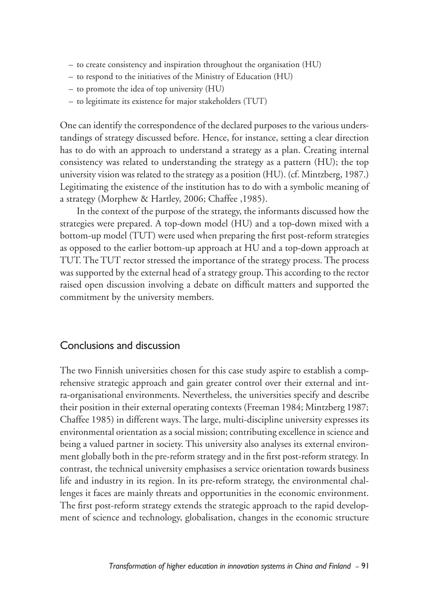- to create consistency and inspiration throughout the organisation (HU)
- to respond to the initiatives of the Ministry of Education (HU)
- to promote the idea of top university (HU)
- to legitimate its existence for major stakeholders (TUT)

One can identify the correspondence of the declared purposes to the various understandings of strategy discussed before. Hence, for instance, setting a clear direction has to do with an approach to understand a strategy as a plan. Creating internal consistency was related to understanding the strategy as a pattern (HU); the top university vision was related to the strategy as a position (HU). (cf. Mintzberg, 1987.) Legitimating the existence of the institution has to do with a symbolic meaning of a strategy (Morphew & Hartley, 2006; Chaffee ,1985).

In the context of the purpose of the strategy, the informants discussed how the strategies were prepared. A top-down model (HU) and a top-down mixed with a bottom-up model (TUT) were used when preparing the first post-reform strategies as opposed to the earlier bottom-up approach at HU and a top-down approach at TUT. The TUT rector stressed the importance of the strategy process. The process was supported by the external head of a strategy group. This according to the rector raised open discussion involving a debate on difficult matters and supported the commitment by the university members.

### Conclusions and discussion

The two Finnish universities chosen for this case study aspire to establish a comprehensive strategic approach and gain greater control over their external and intra-organisational environments. Nevertheless, the universities specify and describe their position in their external operating contexts (Freeman 1984; Mintzberg 1987; Chaffee 1985) in different ways. The large, multi-discipline university expresses its environmental orientation as a social mission; contributing excellence in science and being a valued partner in society. This university also analyses its external environment globally both in the pre-reform strategy and in the first post-reform strategy. In contrast, the technical university emphasises a service orientation towards business life and industry in its region. In its pre-reform strategy, the environmental challenges it faces are mainly threats and opportunities in the economic environment. The first post-reform strategy extends the strategic approach to the rapid development of science and technology, globalisation, changes in the economic structure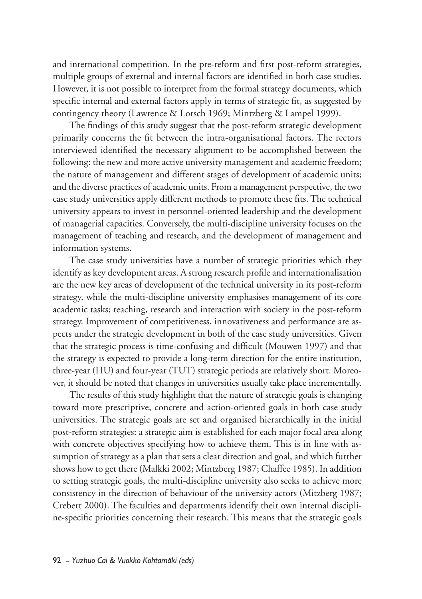and international competition. In the pre-reform and first post-reform strategies, multiple groups of external and internal factors are identified in both case studies. However, it is not possible to interpret from the formal strategy documents, which specific internal and external factors apply in terms of strategic fit, as suggested by contingency theory (Lawrence & Lorsch 1969; Mintzberg & Lampel 1999).

The findings of this study suggest that the post-reform strategic development primarily concerns the fit between the intra-organisational factors. The rectors interviewed identified the necessary alignment to be accomplished between the following: the new and more active university management and academic freedom; the nature of management and different stages of development of academic units; and the diverse practices of academic units. From a management perspective, the two case study universities apply different methods to promote these fits. The technical university appears to invest in personnel-oriented leadership and the development of managerial capacities. Conversely, the multi-discipline university focuses on the management of teaching and research, and the development of management and information systems.

The case study universities have a number of strategic priorities which they identify as key development areas. A strong research profile and internationalisation are the new key areas of development of the technical university in its post-reform strategy, while the multi-discipline university emphasises management of its core academic tasks; teaching, research and interaction with society in the post-reform strategy. Improvement of competitiveness, innovativeness and performance are aspects under the strategic development in both of the case study universities. Given that the strategic process is time-confusing and difficult (Mouwen 1997) and that the strategy is expected to provide a long-term direction for the entire institution, three-year (HU) and four-year (TUT) strategic periods are relatively short. Moreover, it should be noted that changes in universities usually take place incrementally.

The results of this study highlight that the nature of strategic goals is changing toward more prescriptive, concrete and action-oriented goals in both case study universities. The strategic goals are set and organised hierarchically in the initial post-reform strategies: a strategic aim is established for each major focal area along with concrete objectives specifying how to achieve them. This is in line with assumption of strategy as a plan that sets a clear direction and goal, and which further shows how to get there (Malkki 2002; Mintzberg 1987; Chaffee 1985). In addition to setting strategic goals, the multi-discipline university also seeks to achieve more consistency in the direction of behaviour of the university actors (Mitzberg 1987; Crebert 2000). The faculties and departments identify their own internal discipline-specific priorities concerning their research. This means that the strategic goals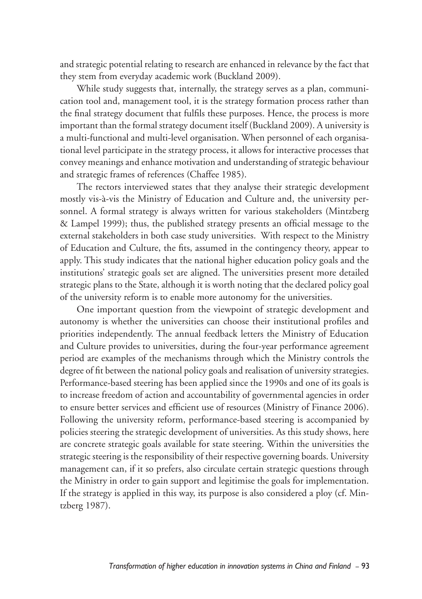and strategic potential relating to research are enhanced in relevance by the fact that they stem from everyday academic work (Buckland 2009).

While study suggests that, internally, the strategy serves as a plan, communication tool and, management tool, it is the strategy formation process rather than the final strategy document that fulfils these purposes. Hence, the process is more important than the formal strategy document itself (Buckland 2009). A university is a multi-functional and multi-level organisation. When personnel of each organisational level participate in the strategy process, it allows for interactive processes that convey meanings and enhance motivation and understanding of strategic behaviour and strategic frames of references (Chaffee 1985).

The rectors interviewed states that they analyse their strategic development mostly vis-à-vis the Ministry of Education and Culture and, the university personnel. A formal strategy is always written for various stakeholders (Mintzberg & Lampel 1999); thus, the published strategy presents an official message to the external stakeholders in both case study universities. With respect to the Ministry of Education and Culture, the fits, assumed in the contingency theory, appear to apply. This study indicates that the national higher education policy goals and the institutions' strategic goals set are aligned. The universities present more detailed strategic plans to the State, although it is worth noting that the declared policy goal of the university reform is to enable more autonomy for the universities.

One important question from the viewpoint of strategic development and autonomy is whether the universities can choose their institutional profiles and priorities independently. The annual feedback letters the Ministry of Education and Culture provides to universities, during the four-year performance agreement period are examples of the mechanisms through which the Ministry controls the degree of fit between the national policy goals and realisation of university strategies. Performance-based steering has been applied since the 1990s and one of its goals is to increase freedom of action and accountability of governmental agencies in order to ensure better services and efficient use of resources (Ministry of Finance 2006). Following the university reform, performance-based steering is accompanied by policies steering the strategic development of universities. As this study shows, here are concrete strategic goals available for state steering. Within the universities the strategic steering is the responsibility of their respective governing boards. University management can, if it so prefers, also circulate certain strategic questions through the Ministry in order to gain support and legitimise the goals for implementation. If the strategy is applied in this way, its purpose is also considered a ploy (cf. Mintzberg 1987).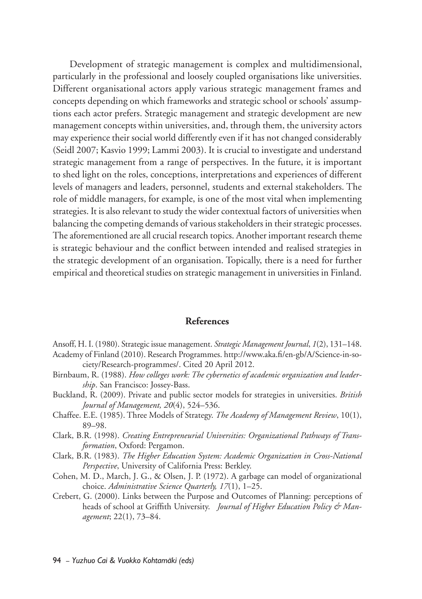Development of strategic management is complex and multidimensional, particularly in the professional and loosely coupled organisations like universities. Different organisational actors apply various strategic management frames and concepts depending on which frameworks and strategic school or schools' assumptions each actor prefers. Strategic management and strategic development are new management concepts within universities, and, through them, the university actors may experience their social world differently even if it has not changed considerably (Seidl 2007; Kasvio 1999; Lammi 2003). It is crucial to investigate and understand strategic management from a range of perspectives. In the future, it is important to shed light on the roles, conceptions, interpretations and experiences of different levels of managers and leaders, personnel, students and external stakeholders. The role of middle managers, for example, is one of the most vital when implementing strategies. It is also relevant to study the wider contextual factors of universities when balancing the competing demands of various stakeholders in their strategic processes. The aforementioned are all crucial research topics. Another important research theme is strategic behaviour and the conflict between intended and realised strategies in the strategic development of an organisation. Topically, there is a need for further empirical and theoretical studies on strategic management in universities in Finland.

#### **References**

- Ansoff, H. I. (1980). Strategic issue management. *Strategic Management Journal*, *1*(2), 131–148. Academy of Finland (2010). Research Programmes. http://www.aka.fi/en-gb/A/Science-in-society/Research-programmes/. Cited 20 April 2012.
- Birnbaum, R. (1988). *How colleges work: The cybernetics of academic organization and leadership*. San Francisco: Jossey-Bass.
- Buckland, R. (2009). Private and public sector models for strategies in universities. *British Journal of Management, 20*(4), 524–536.
- Chaffee. E.E. (1985). Three Models of Strategy. *The Academy of Management Review*, 10(1), 89–98.
- Clark, B.R. (1998). *Creating Entrepreneurial Universities: Organizational Pathways of Transformation*, Oxford: Pergamon.
- Clark, B.R. (1983). *The Higher Education System: Academic Organization in Cross-National Perspective*, University of California Press: Berkley.
- Cohen, M. D., March, J. G., & Olsen, J. P. (1972). A garbage can model of organizational choice. *Administrative Science Quarterly, 17*(1), 1–25.
- Crebert, G. (2000). Links between the Purpose and Outcomes of Planning: perceptions of heads of school at Griffith University. *Journal of Higher Education Policy & Management*; 22(1), 73–84.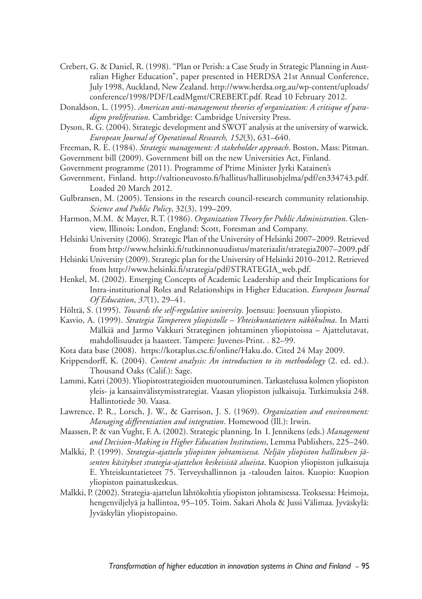- Crebert, G. & Daniel, R. (1998). "Plan or Perish: a Case Study in Strategic Planning in Australian Higher Education", paper presented in HERDSA 21st Annual Conference, July 1998, Auckland, New Zealand. http://www.herdsa.org.au/wp-content/uploads/ conference/1998/PDF/LeadMgmt/CREBERT.pdf. Read 10 February 2012.
- Donaldson, L. (1995). *American anti-management theories of organization: A critique of paradigm proliferation*. Cambridge: Cambridge University Press.
- Dyson, R. G. (2004). Strategic development and SWOT analysis at the university of warwick. *European Journal of Operational Research, 152*(3), 631–640.
- Freeman, R. E. (1984). *Strategic management: A stakeholder approach*. Boston, Mass: Pitman. Government bill (2009). Government bill on the new Universities Act, Finland.
- Government programme (2011). Programme of Prime Minister Jyrki Katainen's
- Government, Finland. http://valtioneuvosto.fi/hallitus/hallitusohjelma/pdf/en334743.pdf. Loaded 20 March 2012.
- Gulbransen, M. (2005). Tensions in the research council-research community relationship. *Science and Public Policy*, 32(3), 199–209.
- Harmon, M.M. & Mayer, R.T. (1986). *Organization Theory for Public Administration*. Glenview, Illinois; London, England: Scott, Foresman and Company.
- Helsinki University (2006). Strategic Plan of the University of Helsinki 2007–2009. Retrieved from http://www.helsinki.fi/tutkinnonuudistus/materiaalit/strategia2007–2009.pdf
- Helsinki University (2009). Strategic plan for the University of Helsinki 2010–2012. Retrieved from http://www.helsinki.fi/strategia/pdf/STRATEGIA\_web.pdf.
- Henkel, M. (2002). Emerging Concepts of Academic Leadership and their Implications for Intra-institutional Roles and Relationships in Higher Education. *European Journal Of Education*, *37*(1), 29–41.
- Hölttä, S. (1995). *Towards the self-regulative university*. Joensuu: Joensuun yliopisto.
- Kasvio, A. (1999). *Strategia Tampereen yliopistolle Yhteiskuntatieteen näkökulma*. In Matti Mälkiä and Jarmo Vakkuri Strateginen johtaminen yliopistoissa – Ajattelutavat, mahdollisuudet ja haasteet. Tampere: Juvenes-Print. . 82–99.
- Kota data base (2008). https://kotaplus.csc.fi/online/Haku.do. Cited 24 May 2009.
- Krippendorff, K. (2004). *Content analysis: An introduction to its methodology* (2. ed. ed.). Thousand Oaks (Calif.): Sage.
- Lammi, Katri (2003). Yliopistostrategioiden muotoutuminen. Tarkastelussa kolmen yliopiston yleis- ja kansainvälistymisstrategiat. Vaasan yliopiston julkaisuja. Tutkimuksia 248. Hallintotiede 30. Vaasa.
- Lawrence, P. R., Lorsch, J. W., & Garrison, J. S. (1969). *Organization and environment: Managing differentiation and integration*. Homewood (Ill.): Irwin.
- Maassen, P. & van Vught, F. A. (2002). Strategic planning. In I. Jennikens (eds.) *Management and Decision-Making in Higher Education Institutions*, Lemma Publishers, 225–240.
- Malkki, P. (1999). *Strategia-ajattelu yliopiston johtamisessa. Neljän yliopiston hallituksen jäsenten käsitykset strategia-ajattelun keskeisistä alueista*. Kuopion yliopiston julkaisuja E. Yhteiskuntatieteet 75. Terveyshallinnon ja -talouden laitos. Kuopio: Kuopion yliopiston painatuskeskus.
- Malkki, P. (2002). Strategia-ajattelun lähtökohtia yliopiston johtamisessa. Teoksessa: Heimoja, hengenviljelyä ja hallintoa, 95–105. Toim. Sakari Ahola & Jussi Välimaa. Jyväskylä: Jyväskylän yliopistopaino.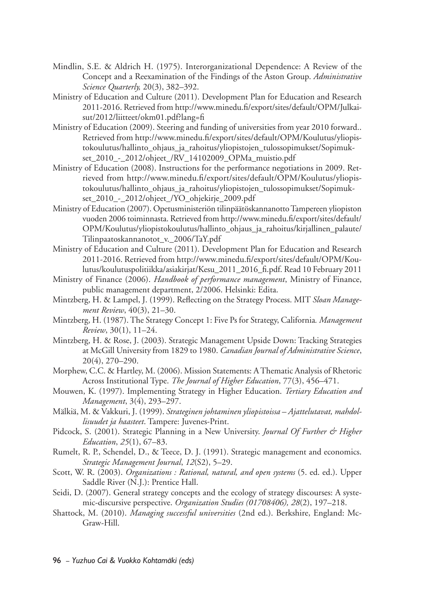- Mindlin, S.E. & Aldrich H. (1975). Interorganizational Dependence: A Review of the Concept and a Reexamination of the Findings of the Aston Group. *Administrative Science Quarterly,* 20(3), 382–392.
- Ministry of Education and Culture (2011). Development Plan for Education and Research 2011-2016. Retrieved from http://www.minedu.fi/export/sites/default/OPM/Julkaisut/2012/liitteet/okm01.pdf?lang=fi
- Ministry of Education (2009). Steering and funding of universities from year 2010 forward.. Retrieved from http://www.minedu.fi/export/sites/default/OPM/Koulutus/yliopistokoulutus/hallinto\_ohjaus\_ja\_rahoitus/yliopistojen\_tulossopimukset/Sopimukset\_2010\_-\_2012/ohjeet\_/RV\_14102009\_OPMa\_muistio.pdf
- Ministry of Education (2008). Instructions for the performance negotiations in 2009. Retrieved from http://www.minedu.fi/export/sites/default/OPM/Koulutus/yliopistokoulutus/hallinto\_ohjaus\_ja\_rahoitus/yliopistojen\_tulossopimukset/Sopimukset\_2010\_-\_2012/ohjeet\_/YO\_ohjekirje\_2009.pdf
- Ministry of Education (2007). Opetusministeriön tilinpäätöskannanotto Tampereen yliopiston vuoden 2006 toiminnasta. Retrieved from http://www.minedu.fi/export/sites/default/ OPM/Koulutus/yliopistokoulutus/hallinto\_ohjaus\_ja\_rahoitus/kirjallinen\_palaute/ Tilinpaatoskannanotot\_v.\_2006/TaY.pdf
- Ministry of Education and Culture (2011). Development Plan for Education and Research 2011-2016. Retrieved from http://www.minedu.fi/export/sites/default/OPM/Koulutus/koulutuspolitiikka/asiakirjat/Kesu\_2011\_2016\_fi.pdf. Read 10 February 2011
- Ministry of Finance (2006). *Handbook of performance management*, Ministry of Finance, public management department, 2/2006. Helsinki: Edita.
- Mintzberg, H. & Lampel, J. (1999). Reflecting on the Strategy Process. MIT *Sloan Management Review*, 40(3), 21–30.
- Mintzberg, H. (1987). The Strategy Concept 1: Five Ps for Strategy, California*. Management Review*, 30(1), 11–24.
- Mintzberg, H. & Rose, J. (2003). Strategic Management Upside Down: Tracking Strategies at McGill University from 1829 to 1980. *Canadian Journal of Administrative Science*, 20(4), 270–290.
- Morphew, C.C. & Hartley, M. (2006). Mission Statements: A Thematic Analysis of Rhetoric Across Institutional Type. *The Journal of Higher Education*, 77(3), 456–471.
- Mouwen, K. (1997). Implementing Strategy in Higher Education. *Tertiary Education and Management*, 3(4), 293–297.
- Mälkiä, M. & Vakkuri, J. (1999). *Strateginen johtaminen yliopistoissa Ajattelutavat, mahdollisuudet ja haasteet*. Tampere: Juvenes-Print.
- Pidcock, S. (2001). Strategic Planning in a New University. *Journal Of Further & Higher Education*, *25*(1), 67–83.
- Rumelt, R. P., Schendel, D., & Teece, D. J. (1991). Strategic management and economics. *Strategic Management Journal*, *12*(S2), 5–29.
- Scott, W. R. (2003). *Organizations : Rational, natural, and open systems* (5. ed. ed.). Upper Saddle River (N.J.): Prentice Hall.
- Seidi, D. (2007). General strategy concepts and the ecology of strategy discourses: A systemic-discursive perspective. *Organization Studies (01708406), 28*(2), 197–218.
- Shattock, M. (2010). *Managing successful universities* (2nd ed.). Berkshire, England: Mc-Graw-Hill.